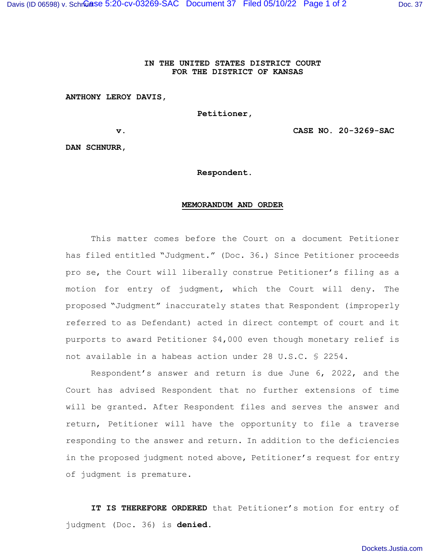## **IN THE UNITED STATES DISTRICT COURT FOR THE DISTRICT OF KANSAS**

## **ANTHONY LEROY DAVIS,**

 **Petitioner,** 

**v. CASE NO. 20-3269-SAC**

**DAN SCHNURR,** 

**Respondent.** 

## **MEMORANDUM AND ORDER**

This matter comes before the Court on a document Petitioner has filed entitled "Judgment." (Doc. 36.) Since Petitioner proceeds pro se, the Court will liberally construe Petitioner's filing as a motion for entry of judgment, which the Court will deny. The proposed "Judgment" inaccurately states that Respondent (improperly referred to as Defendant) acted in direct contempt of court and it purports to award Petitioner \$4,000 even though monetary relief is not available in a habeas action under 28 U.S.C. § 2254.

Respondent's answer and return is due June 6, 2022, and the Court has advised Respondent that no further extensions of time will be granted. After Respondent files and serves the answer and return, Petitioner will have the opportunity to file a traverse responding to the answer and return. In addition to the deficiencies in the proposed judgment noted above, Petitioner's request for entry of judgment is premature.

**IT IS THEREFORE ORDERED** that Petitioner's motion for entry of judgment (Doc. 36) is **denied.**